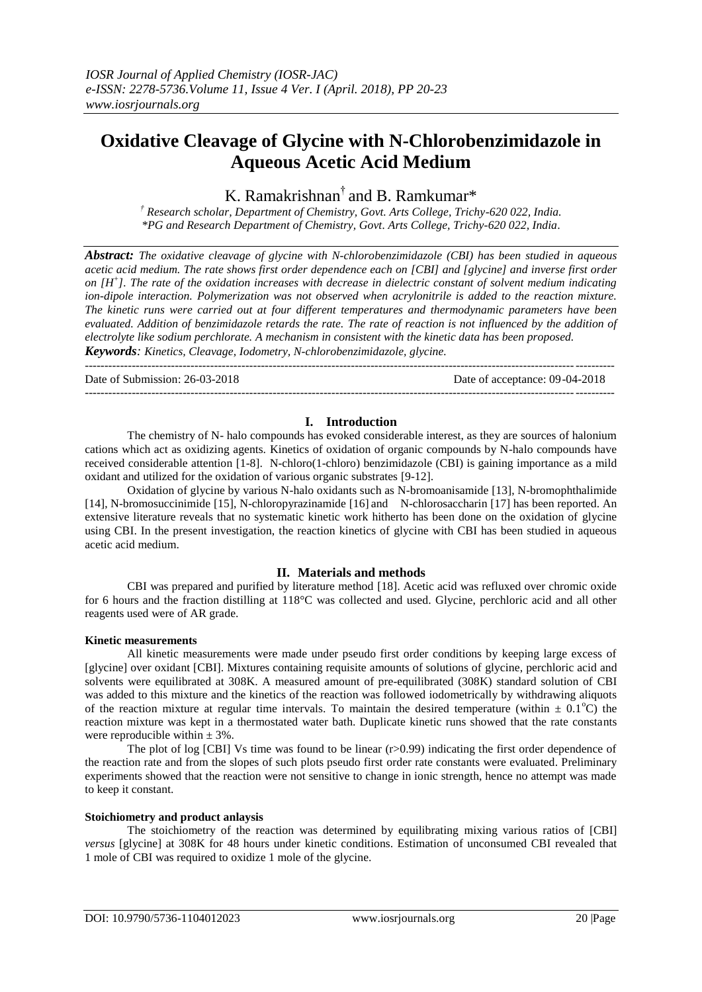# **Oxidative Cleavage of Glycine with N-Chlorobenzimidazole in Aqueous Acetic Acid Medium**

K. Ramakrishnan<sup>†</sup> and B. Ramkumar\*

*† Research scholar, Department of Chemistry, Govt. Arts College, Trichy-620 022, India. \*PG and Research Department of Chemistry, Govt. Arts College, Trichy-620 022, India*.

*Abstract: The oxidative cleavage of glycine with N-chlorobenzimidazole (CBI) has been studied in aqueous acetic acid medium. The rate shows first order dependence each on [CBI] and [glycine] and inverse first order on [H<sup>+</sup> ]. The rate of the oxidation increases with decrease in dielectric constant of solvent medium indicating ion-dipole interaction. Polymerization was not observed when acrylonitrile is added to the reaction mixture. The kinetic runs were carried out at four different temperatures and thermodynamic parameters have been evaluated. Addition of benzimidazole retards the rate. The rate of reaction is not influenced by the addition of electrolyte like sodium perchlorate. A mechanism in consistent with the kinetic data has been proposed. Keywords: Kinetics, Cleavage, Iodometry, N-chlorobenzimidazole, glycine.*

---------------------------------------------------------------------------------------------------------------------------------------

Date of Submission: 26-03-2018 Date of acceptance: 09-04-2018

---------------------------------------------------------------------------------------------------------------------------------------

# **I. Introduction**

The chemistry of N- halo compounds has evoked considerable interest, as they are sources of halonium cations which act as oxidizing agents. Kinetics of oxidation of organic compounds by N-halo compounds have received considerable attention [1-8]. N-chloro(1-chloro) benzimidazole (CBI) is gaining importance as a mild oxidant and utilized for the oxidation of various organic substrates [9-12].

Oxidation of glycine by various N-halo oxidants such as N-bromoanisamide [13], N-bromophthalimide [14], N-bromosuccinimide [15], N-chloropyrazinamide [16] and N-chlorosaccharin [17] has been reported. An extensive literature reveals that no systematic kinetic work hitherto has been done on the oxidation of glycine using CBI. In the present investigation, the reaction kinetics of glycine with CBI has been studied in aqueous acetic acid medium.

# **II. Materials and methods**

CBI was prepared and purified by literature method [18]. Acetic acid was refluxed over chromic oxide for 6 hours and the fraction distilling at 118°C was collected and used. Glycine, perchloric acid and all other reagents used were of AR grade.

# **Kinetic measurements**

All kinetic measurements were made under pseudo first order conditions by keeping large excess of [glycine] over oxidant [CBI]. Mixtures containing requisite amounts of solutions of glycine, perchloric acid and solvents were equilibrated at 308K. A measured amount of pre-equilibrated (308K) standard solution of CBI was added to this mixture and the kinetics of the reaction was followed iodometrically by withdrawing aliquots of the reaction mixture at regular time intervals. To maintain the desired temperature (within  $\pm$  0.1<sup>o</sup>C) the reaction mixture was kept in a thermostated water bath. Duplicate kinetic runs showed that the rate constants were reproducible within  $\pm$  3%.

The plot of log  $[CBI]$  Vs time was found to be linear  $(r>0.99)$  indicating the first order dependence of the reaction rate and from the slopes of such plots pseudo first order rate constants were evaluated. Preliminary experiments showed that the reaction were not sensitive to change in ionic strength, hence no attempt was made to keep it constant.

# **Stoichiometry and product anlaysis**

The stoichiometry of the reaction was determined by equilibrating mixing various ratios of [CBI] *versus* [glycine] at 308K for 48 hours under kinetic conditions. Estimation of unconsumed CBI revealed that 1 mole of CBI was required to oxidize 1 mole of the glycine.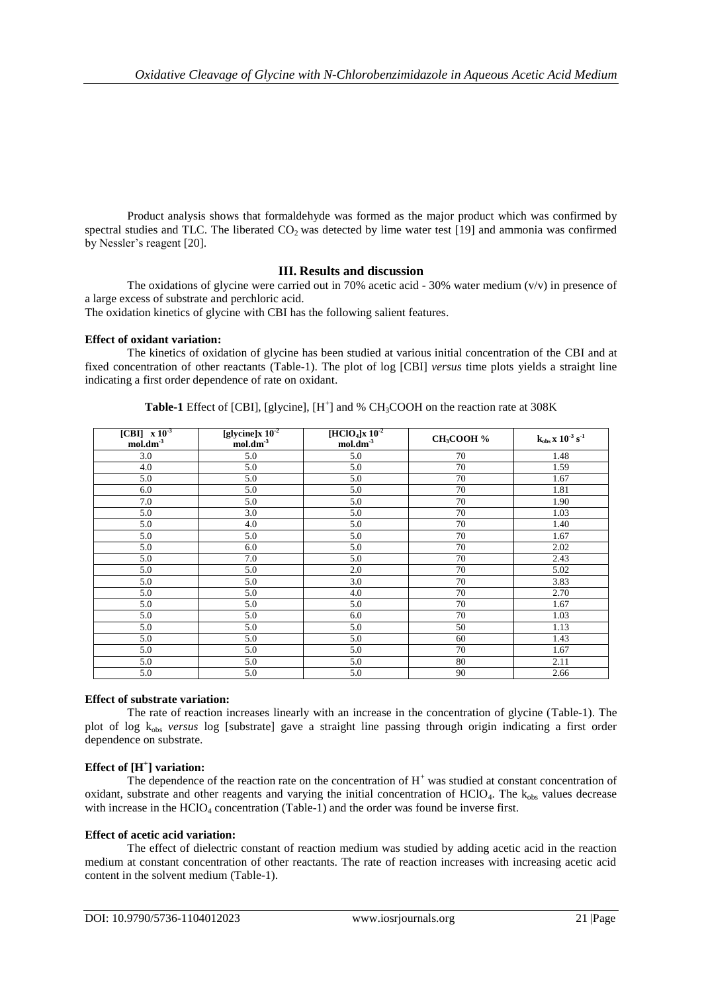Product analysis shows that formaldehyde was formed as the major product which was confirmed by spectral studies and TLC. The liberated  $CO<sub>2</sub>$  was detected by lime water test [19] and ammonia was confirmed by Nessler's reagent [20].

# **III. Results and discussion**

The oxidations of glycine were carried out in 70% acetic acid - 30% water medium  $(v/v)$  in presence of a large excess of substrate and perchloric acid.

The oxidation kinetics of glycine with CBI has the following salient features.

# **Effect of oxidant variation:**

The kinetics of oxidation of glycine has been studied at various initial concentration of the CBI and at fixed concentration of other reactants (Table-1). The plot of log [CBI] *versus* time plots yields a straight line indicating a first order dependence of rate on oxidant.

| $[CBI]$ $\overline{x}$ $10^{-3}$<br>$mol.dim^{-3}$ | [glycine] $x 10^{-2}$<br>$mol.dim^{-3}$ | $[HClO4]$ x 10 <sup>-2</sup><br>$mol.dim^{-3}$ | CH <sub>3</sub> COOH % | $\mathbf{k}_{obs}\,\mathbf{x}\,\, \mathbf{10^{\text{-3}}}\,\mathbf{s}^{\text{-1}}$ |
|----------------------------------------------------|-----------------------------------------|------------------------------------------------|------------------------|------------------------------------------------------------------------------------|
| 3.0                                                | 5.0                                     | 5.0                                            | 70                     | 1.48                                                                               |
| 4.0                                                | 5.0                                     | 5.0                                            | 70                     | 1.59                                                                               |
| 5.0                                                | 5.0                                     | 5.0                                            | 70                     | 1.67                                                                               |
| 6.0                                                | 5.0                                     | 5.0                                            | 70                     | 1.81                                                                               |
| 7.0                                                | 5.0                                     | 5.0                                            | 70                     | 1.90                                                                               |
| 5.0                                                | 3.0                                     | 5.0                                            | 70                     | 1.03                                                                               |
| 5.0                                                | 4.0                                     | 5.0                                            | 70                     | 1.40                                                                               |
| 5.0                                                | 5.0                                     | 5.0                                            | 70                     | 1.67                                                                               |
| 5.0                                                | 6.0                                     | 5.0                                            | 70                     | 2.02                                                                               |
| 5.0                                                | 7.0                                     | 5.0                                            | 70                     | 2.43                                                                               |
| 5.0                                                | 5.0                                     | 2.0                                            | 70                     | 5.02                                                                               |
| 5.0                                                | 5.0                                     | 3.0                                            | 70                     | 3.83                                                                               |
| 5.0                                                | 5.0                                     | 4.0                                            | 70                     | 2.70                                                                               |
| 5.0                                                | 5.0                                     | 5.0                                            | 70                     | 1.67                                                                               |
| 5.0                                                | 5.0                                     | 6.0                                            | 70                     | 1.03                                                                               |
| 5.0                                                | 5.0                                     | 5.0                                            | 50                     | 1.13                                                                               |
| 5.0                                                | 5.0                                     | 5.0                                            | 60                     | 1.43                                                                               |
| 5.0                                                | 5.0                                     | 5.0                                            | 70                     | 1.67                                                                               |
| 5.0                                                | 5.0                                     | 5.0                                            | 80                     | 2.11                                                                               |
| 5.0                                                | 5.0                                     | 5.0                                            | 90                     | 2.66                                                                               |

**Table-1** Effect of [CBI], [glycine],  $[H^+]$  and % CH<sub>3</sub>COOH on the reaction rate at 308K

# **Effect of substrate variation:**

The rate of reaction increases linearly with an increase in the concentration of glycine (Table-1). The plot of log kobs *versus* log [substrate] gave a straight line passing through origin indicating a first order dependence on substrate.

# **Effect of [H<sup>+</sup> ] variation:**

The dependence of the reaction rate on the concentration of  $H<sup>+</sup>$  was studied at constant concentration of oxidant, substrate and other reagents and varying the initial concentration of  $HClO<sub>4</sub>$ . The  $k_{obs}$  values decrease with increase in the  $HClO<sub>4</sub>$  concentration (Table-1) and the order was found be inverse first.

# **Effect of acetic acid variation:**

The effect of dielectric constant of reaction medium was studied by adding acetic acid in the reaction medium at constant concentration of other reactants. The rate of reaction increases with increasing acetic acid content in the solvent medium (Table-1).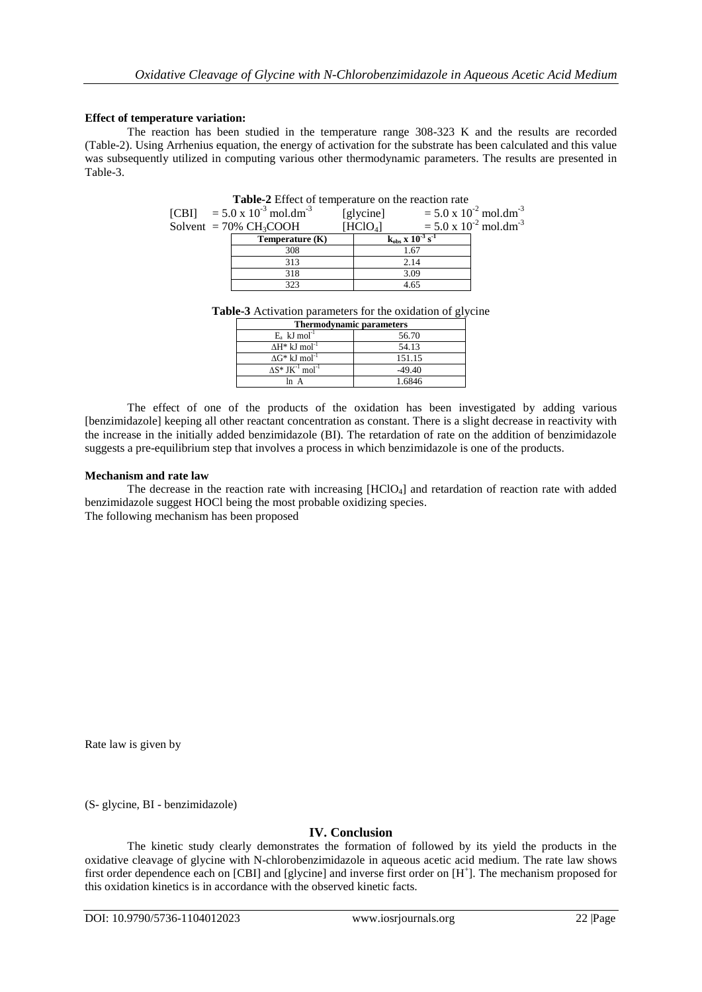# **Effect of temperature variation:**

The reaction has been studied in the temperature range 308-323 K and the results are recorded (Table-2). Using Arrhenius equation, the energy of activation for the substrate has been calculated and this value was subsequently utilized in computing various other thermodynamic parameters. The results are presented in Table-3.

|                                                   | Table-2 Effect of temperature on the reaction rate |                      |                                       |                                             |  |
|---------------------------------------------------|----------------------------------------------------|----------------------|---------------------------------------|---------------------------------------------|--|
| [CBI] = $5.0 \times 10^{-3}$ mol.dm <sup>-3</sup> |                                                    | [glycine]            |                                       | $= 5.0 \times 10^{-2}$ mol.dm <sup>-3</sup> |  |
| Solvent = $70\%$ CH <sub>3</sub> COOH             |                                                    | [HClO <sub>4</sub> ] |                                       | $= 5.0 \times 10^{-2}$ mol.dm <sup>-3</sup> |  |
|                                                   | Temperature $(K)$                                  |                      | $k_{obs}$ x $10^{-3}$ s <sup>-1</sup> |                                             |  |
|                                                   | 308                                                |                      |                                       | 1.67                                        |  |
|                                                   | 313                                                |                      | 2.14                                  |                                             |  |
|                                                   | 318                                                |                      | 3.09                                  |                                             |  |
|                                                   | 323                                                |                      | 4.65                                  |                                             |  |

**Table-3** Activation parameters for the oxidation of glycine

| <b>Thermodynamic parameters</b>                 |          |  |  |  |
|-------------------------------------------------|----------|--|--|--|
| $E_a$ kJ mol <sup>-1</sup>                      | 56.70    |  |  |  |
| $\Delta H^*$ kJ mol <sup>-1</sup>               | 54.13    |  |  |  |
| $\Delta G^*$ kJ mol <sup>-1</sup>               | 151.15   |  |  |  |
| $\Delta S^*$ JK <sup>-1</sup> mol <sup>-1</sup> | $-49.40$ |  |  |  |
| ln A                                            | 1.6846   |  |  |  |

The effect of one of the products of the oxidation has been investigated by adding various [benzimidazole] keeping all other reactant concentration as constant. There is a slight decrease in reactivity with the increase in the initially added benzimidazole (BI). The retardation of rate on the addition of benzimidazole suggests a pre-equilibrium step that involves a process in which benzimidazole is one of the products.

# **Mechanism and rate law**

The decrease in the reaction rate with increasing [HClO4] and retardation of reaction rate with added benzimidazole suggest HOCl being the most probable oxidizing species. The following mechanism has been proposed

Rate law is given by

(S- glycine, BI - benzimidazole)

# **IV. Conclusion**

The kinetic study clearly demonstrates the formation of followed by its yield the products in the oxidative cleavage of glycine with N-chlorobenzimidazole in aqueous acetic acid medium. The rate law shows first order dependence each on [CBI] and [glycine] and inverse first order on [H<sup>+</sup>]. The mechanism proposed for this oxidation kinetics is in accordance with the observed kinetic facts.